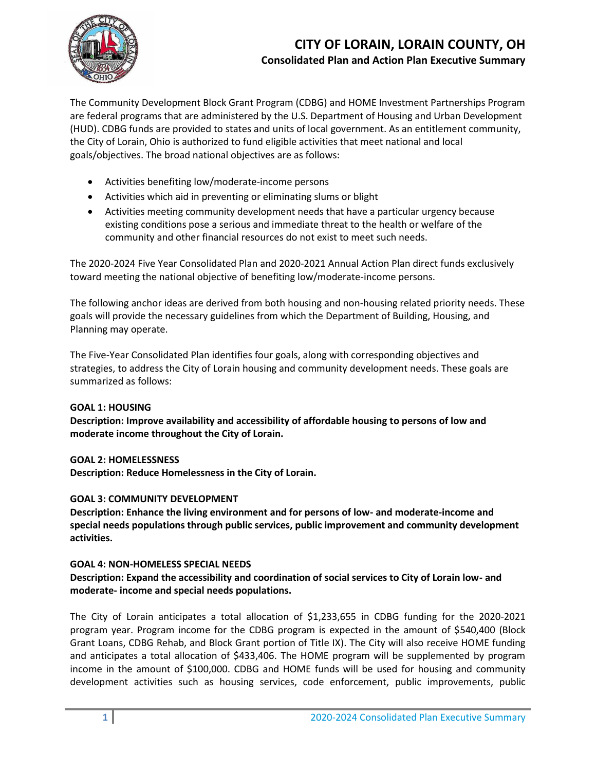### **CITY OF LORAIN, LORAIN COUNTY, OH Consolidated Plan and Action Plan Executive Summary**



The Community Development Block Grant Program (CDBG) and HOME Investment Partnerships Program are federal programs that are administered by the U.S. Department of Housing and Urban Development (HUD). CDBG funds are provided to states and units of local government. As an entitlement community, the City of Lorain, Ohio is authorized to fund eligible activities that meet national and local goals/objectives. The broad national objectives are as follows:

- Activities benefiting low/moderate-income persons
- Activities which aid in preventing or eliminating slums or blight
- Activities meeting community development needs that have a particular urgency because existing conditions pose a serious and immediate threat to the health or welfare of the community and other financial resources do not exist to meet such needs.

The 2020-2024 Five Year Consolidated Plan and 2020-2021 Annual Action Plan direct funds exclusively toward meeting the national objective of benefiting low/moderate-income persons.

The following anchor ideas are derived from both housing and non-housing related priority needs. These goals will provide the necessary guidelines from which the Department of Building, Housing, and Planning may operate.

The Five-Year Consolidated Plan identifies four goals, along with corresponding objectives and strategies, to address the City of Lorain housing and community development needs. These goals are summarized as follows:

#### **GOAL 1: HOUSING**

**Description: Improve availability and accessibility of affordable housing to persons of low and moderate income throughout the City of Lorain.**

#### **GOAL 2: HOMELESSNESS**

**Description: Reduce Homelessness in the City of Lorain.** 

#### **GOAL 3: COMMUNITY DEVELOPMENT**

**Description: Enhance the living environment and for persons of low- and moderate-income and special needs populations through public services, public improvement and community development activities.**

#### **GOAL 4: NON-HOMELESS SPECIAL NEEDS**

#### **Description: Expand the accessibility and coordination of social services to City of Lorain low- and moderate- income and special needs populations.**

The City of Lorain anticipates a total allocation of \$1,233,655 in CDBG funding for the 2020-2021 program year. Program income for the CDBG program is expected in the amount of \$540,400 (Block Grant Loans, CDBG Rehab, and Block Grant portion of Title IX). The City will also receive HOME funding and anticipates a total allocation of \$433,406. The HOME program will be supplemented by program income in the amount of \$100,000. CDBG and HOME funds will be used for housing and community development activities such as housing services, code enforcement, public improvements, public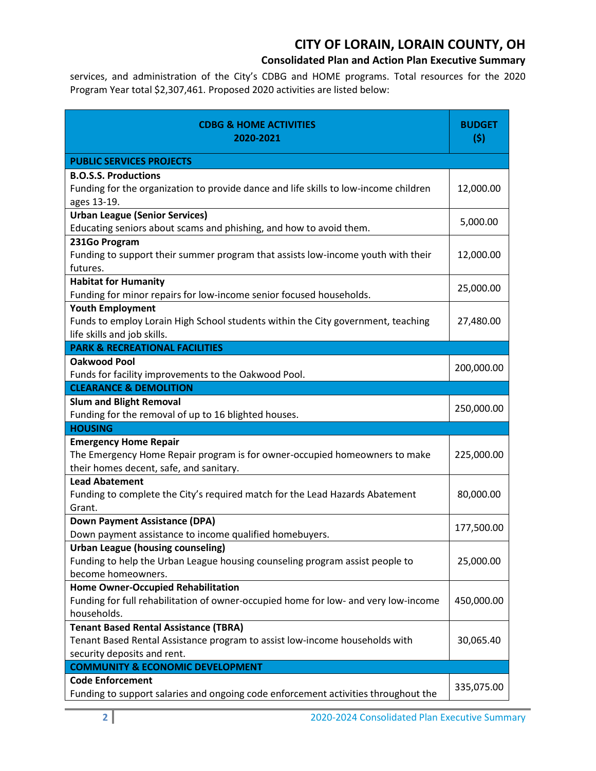# **CITY OF LORAIN, LORAIN COUNTY, OH**

### **Consolidated Plan and Action Plan Executive Summary**

services, and administration of the City's CDBG and HOME programs. Total resources for the 2020 Program Year total \$2,307,461. Proposed 2020 activities are listed below:

| <b>CDBG &amp; HOME ACTIVITIES</b><br>2020-2021                                                                                                             | <b>BUDGET</b><br>(5) |
|------------------------------------------------------------------------------------------------------------------------------------------------------------|----------------------|
| <b>PUBLIC SERVICES PROJECTS</b>                                                                                                                            |                      |
| <b>B.O.S.S. Productions</b><br>Funding for the organization to provide dance and life skills to low-income children<br>ages 13-19.                         | 12,000.00            |
| <b>Urban League (Senior Services)</b><br>Educating seniors about scams and phishing, and how to avoid them.                                                | 5,000.00             |
| 231Go Program<br>Funding to support their summer program that assists low-income youth with their<br>futures.                                              | 12,000.00            |
| <b>Habitat for Humanity</b><br>Funding for minor repairs for low-income senior focused households.                                                         | 25,000.00            |
| <b>Youth Employment</b><br>Funds to employ Lorain High School students within the City government, teaching<br>life skills and job skills.                 | 27,480.00            |
| <b>PARK &amp; RECREATIONAL FACILITIES</b>                                                                                                                  |                      |
| <b>Oakwood Pool</b><br>Funds for facility improvements to the Oakwood Pool.                                                                                | 200,000.00           |
| <b>CLEARANCE &amp; DEMOLITION</b>                                                                                                                          |                      |
| <b>Slum and Blight Removal</b><br>Funding for the removal of up to 16 blighted houses.                                                                     | 250,000.00           |
| <b>HOUSING</b>                                                                                                                                             |                      |
| <b>Emergency Home Repair</b><br>The Emergency Home Repair program is for owner-occupied homeowners to make<br>their homes decent, safe, and sanitary.      | 225,000.00           |
| <b>Lead Abatement</b><br>Funding to complete the City's required match for the Lead Hazards Abatement<br>Grant.                                            | 80,000.00            |
| <b>Down Payment Assistance (DPA)</b><br>Down payment assistance to income qualified homebuyers.                                                            | 177,500.00           |
| <b>Urban League (housing counseling)</b><br>Funding to help the Urban League housing counseling program assist people to<br>become homeowners.             | 25,000.00            |
| <b>Home Owner-Occupied Rehabilitation</b><br>Funding for full rehabilitation of owner-occupied home for low- and very low-income<br>households.            | 450,000.00           |
| <b>Tenant Based Rental Assistance (TBRA)</b><br>Tenant Based Rental Assistance program to assist low-income households with<br>security deposits and rent. | 30,065.40            |
| <b>COMMUNITY &amp; ECONOMIC DEVELOPMENT</b>                                                                                                                |                      |
| <b>Code Enforcement</b><br>Funding to support salaries and ongoing code enforcement activities throughout the                                              | 335,075.00           |